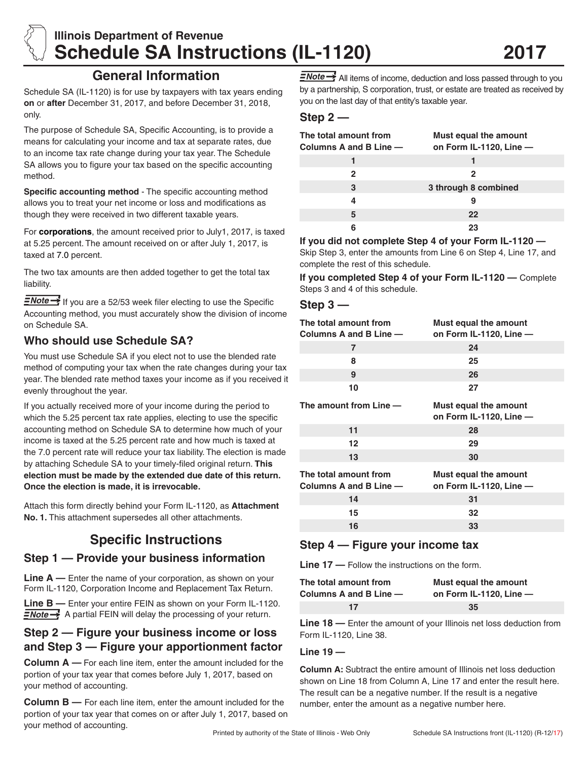

# **Illinois Department of Revenue Schedule SA Instructions (IL-1120)**

## **General Information**

Schedule SA (IL-1120) is for use by taxpayers with tax years ending **on** or **after** December 31, 2017, and before December 31, 2018, only.

The purpose of Schedule SA, Specific Accounting, is to provide a means for calculating your income and tax at separate rates, due to an income tax rate change during your tax year. The Schedule SA allows you to figure your tax based on the specific accounting method.

**Specific accounting method** - The specific accounting method allows you to treat your net income or loss and modifications as though they were received in two different taxable years.

For **corporations**, the amount received prior to July1, 2017, is taxed at 5.25 percent. The amount received on or after July 1, 2017, is taxed at 7.0 percent.

The two tax amounts are then added together to get the total tax liability.

 $\equiv$ Note  $\rightarrow$  If you are a 52/53 week filer electing to use the Specific Accounting method, you must accurately show the division of income on Schedule SA.

## **Who should use Schedule SA?**

You must use Schedule SA if you elect not to use the blended rate method of computing your tax when the rate changes during your tax year. The blended rate method taxes your income as if you received it evenly throughout the year.

If you actually received more of your income during the period to which the 5.25 percent tax rate applies, electing to use the specific accounting method on Schedule SA to determine how much of your income is taxed at the 5.25 percent rate and how much is taxed at the 7.0 percent rate will reduce your tax liability. The election is made by attaching Schedule SA to your timely-filed original return. **This election must be made by the extended due date of this return. Once the election is made, it is irrevocable.**

Attach this form directly behind your Form IL-1120, as **Attachment No. 1.** This attachment supersedes all other attachments.

## **Specific Instructions**

### **Step 1 — Provide your business information**

Line A — Enter the name of your corporation, as shown on your Form IL-1120, Corporation Income and Replacement Tax Return.

**Line B —** Enter your entire FEIN as shown on your Form IL-1120.  $\equiv$ Note  $\rightarrow$  A partial FEIN will delay the processing of your return.

## **Step 2 — Figure your business income or loss and Step 3 — Figure your apportionment factor**

**Column A —** For each line item, enter the amount included for the portion of your tax year that comes before July 1, 2017, based on your method of accounting.

**Column B —** For each line item, enter the amount included for the portion of your tax year that comes on or after July 1, 2017, based on your method of accounting.

 $\sqrt{N\cdot\frac{1}{n}}$  All items of income, deduction and loss passed through to you by a partnership, S corporation, trust, or estate are treated as received by you on the last day of that entity's taxable year.

### **Step 2 —**

| The total amount from<br>Columns A and B Line $-$ | Must equal the amount<br>on Form IL-1120, Line $-$ |
|---------------------------------------------------|----------------------------------------------------|
|                                                   |                                                    |
| 2                                                 | 2                                                  |
| 3                                                 | 3 through 8 combined                               |
| Δ                                                 | 9                                                  |
| 5                                                 | 22                                                 |
|                                                   | 23                                                 |

**If you did not complete Step 4 of your Form IL-1120 —** 

Skip Step 3, enter the amounts from Line 6 on Step 4, Line 17, and complete the rest of this schedule.

**If you completed Step 4 of your Form IL-1120 —** Complete Steps 3 and 4 of this schedule.

#### **Step 3 —**

| The total amount from<br>Columns A and B Line - | Must equal the amount<br>on Form IL-1120, Line -   |
|-------------------------------------------------|----------------------------------------------------|
| 7                                               | 24                                                 |
| 8                                               | 25                                                 |
| 9                                               | 26                                                 |
| 10                                              | 27                                                 |
| The amount from Line -                          | Must equal the amount<br>on Form IL-1120, Line -   |
| 11                                              | 28                                                 |
| 12                                              | 29                                                 |
| 13                                              | 30                                                 |
| The total amount from<br>Columns A and B Line - | Must equal the amount<br>on Form IL-1120, Line $-$ |
| 14                                              | 31                                                 |
| 15                                              | 32                                                 |
| 16                                              | 33                                                 |

## **Step 4 — Figure your income tax**

**Line 17 —** Follow the instructions on the form.

| The total amount from  | Must equal the amount        |
|------------------------|------------------------------|
| Columns A and B Line — | on Form $IL-1120$ . Line $-$ |
| 17                     | 35                           |

**Line 18 —** Enter the amount of your Illinois net loss deduction from Form IL-1120, Line 38.

#### **Line 19 —**

**Column A:** Subtract the entire amount of Illinois net loss deduction shown on Line 18 from Column A, Line 17 and enter the result here. The result can be a negative number. If the result is a negative number, enter the amount as a negative number here.